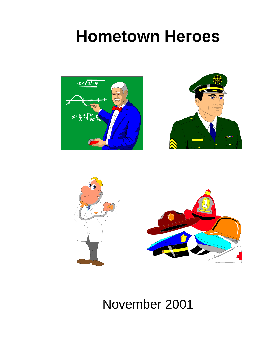# **Hometown Heroes**







November 2001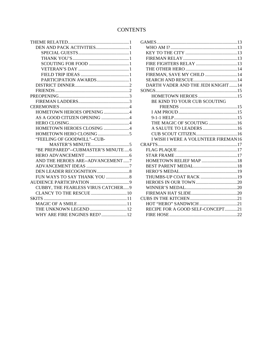#### **CONTENTS**

| PARTICIPATION AWARDS1               |
|-------------------------------------|
|                                     |
|                                     |
|                                     |
|                                     |
|                                     |
| HOMETOWN HEROES OPENING 4           |
| AS A GOOD CITIZEN OPENING 4         |
|                                     |
| HOMETOWN HEROES CLOSING 4           |
|                                     |
| "FEELING OF GOODWILL"--CUB-         |
|                                     |
| "BE PREPARED"--CUBMASTER'S MINUTE6  |
|                                     |
| AND THE HEROES ARE--ADVANCEMENT7    |
|                                     |
|                                     |
|                                     |
|                                     |
| CUBBY, THE FEARLESS VIRUS CATCHER 9 |
|                                     |
| <b>SKITS</b>                        |
|                                     |
| THE UNKNOWN LEGEND  12              |
| WHY ARE FIRE ENGINES RED? 12        |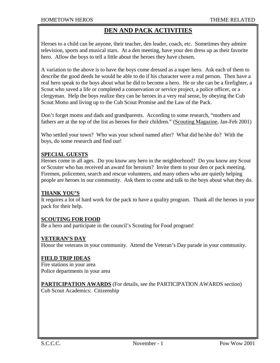## **DEN AND PACK ACTIVITIES**

Heroes to a child can be anyone, their teacher, den leader, coach, etc. Sometimes they admire television, sports and musical stars. At a den meeting, have your den dress up as their favorite hero. Allow the boys to tell a little about the heroes they have chosen.

A variation to the above is to have the boys come dressed as a super hero. Ask each of them to describe the good deeds he would be able to do if his character were a real person. Then have a real hero speak to the boys about what he did to become a hero. He or she can be a firefighter, a Scout who saved a life or completed a conservation or service project, a police officer, or a clergyman. Help the boys realize they can be heroes in a very real sense, by obeying the Cub Scout Motto and living up to the Cub Scout Promise and the Law of the Pack.

Don't forget moms and dads and grandparents. According to some research, "mothers and fathers are at the top of the list as heroes for their children." (Scouting Magazine, Jan-Feb 2001)

Who settled your town? Who was your school named after? What did he/she do? With the boys, do some research and find out!

#### **SPECIAL GUESTS**

Heroes come in all ages. Do you know any hero in the neighborhood? Do you know any Scout or Scouter who has received an award for heroism? Invite them to your den or pack meeting. Firemen, policemen, search and rescue volunteers, and many others who are quietly helping people are heroes in our community. Ask them to come and talk to the boys about what they do.

#### **THANK YOU'S**

It requires a lot of hard work for the pack to have a quality program. Thank all the heroes in your pack for their help.

#### **SCOUTING FOR FOOD**

Be a hero and participate in the council's Scouting for Food program!

#### **VETERAN'S DAY**

Honor the veterans in your community. Attend the Veteran's Day parade in your community.

#### **FIELD TRIP IDEAS**

Fire stations in your area Police departments in your area

**PARTICIPATION AWARDS** (For details, see the PARTICIPATION AWARDS section) Cub Scout Academics: Citizenship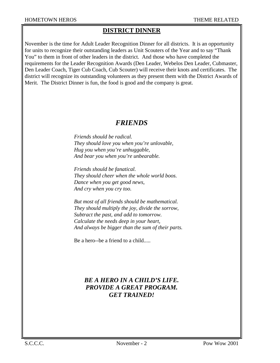## **DISTRICT DINNER**

November is the time for Adult Leader Recognition Dinner for all districts. It is an opportunity for units to recognize their outstanding leaders as Unit Scouters of the Year and to say "Thank You" to them in front of other leaders in the district. And those who have completed the requirements for the Leader Recognition Awards (Den Leader, Webelos Den Leader, Cubmaster, Den Leader Coach, Tiger Cub Coach, Cub Scouter) will receive their knots and certificates. The district will recognize its outstanding volunteers as they present them with the District Awards of Merit. The District Dinner is fun, the food is good and the company is great.

## *FRIENDS*

*Friends should be radical. They should love you when you're unlovable, Hug you when you're unhuggable, And bear you when you're unbearable.* 

*Friends should be fanatical. They should cheer when the whole world boos. Dance when you get good news, And cry when you cry too.* 

*But most of all friends should be mathematical. They should multiply the joy, divide the sorrow, Subtract the past, and add to tomorrow. Calculate the needs deep in your heart, And always be bigger than the sum of their parts.* 

Be a hero--be a friend to a child.....

## *BE A HERO IN A CHILD'S LIFE. PROVIDE A GREAT PROGRAM. GET TRAINED!*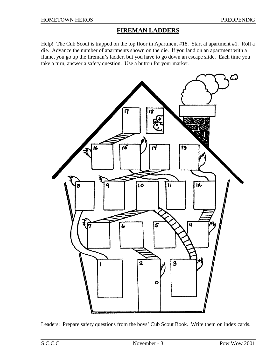#### **FIREMAN LADDERS**

Help! The Cub Scout is trapped on the top floor in Apartment #18. Start at apartment #1. Roll a die. Advance the number of apartments shown on the die. If you land on an apartment with a flame, you go up the fireman's ladder, but you have to go down an escape slide. Each time you take a turn, answer a safety question. Use a button for your marker.



Leaders: Prepare safety questions from the boys' Cub Scout Book. Write them on index cards.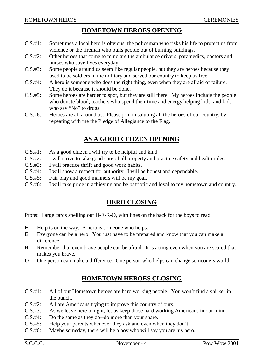#### **HOMETOWN HEROES OPENING**

- C.S.#1: Sometimes a local hero is obvious, the policeman who risks his life to protect us from violence or the fireman who pulls people out of burning buildings.
- C.S.#2: Other heroes that come to mind are the ambulance drivers, paramedics, doctors and nurses who save lives everyday.
- C.S.#3: Some people around us seem like regular people, but they are heroes because they used to be soldiers in the military and served our country to keep us free.
- C.S.#4: A hero is someone who does the right thing, even when they are afraid of failure. They do it because it should be done.
- C.S.#5: Some heroes are harder to spot, but they are still there. My heroes include the people who donate blood, teachers who spend their time and energy helping kids, and kids who say "No" to drugs.
- C.S.#6: Heroes are all around us. Please join in saluting all the heroes of our country, by repeating with me the Pledge of Allegiance to the Flag.

## **AS A GOOD CITIZEN OPENING**

- C.S.#1: As a good citizen I will try to be helpful and kind.
- C.S.#2: I will strive to take good care of all property and practice safety and health rules.
- C.S.#3: I will practice thrift and good work habits.
- C.S.#4: I will show a respect for authority. I will be honest and dependable.
- C.S.#5: Fair play and good manners will be my goal.
- C.S.#6: I will take pride in achieving and be patriotic and loyal to my hometown and country.

#### **HERO CLOSING**

Props: Large cards spelling out H-E-R-O, with lines on the back for the boys to read.

- **H** Help is on the way. A hero is someone who helps.
- **E** Everyone can be a hero. You just have to be prepared and know that you can make a difference.
- **R** Remember that even brave people can be afraid. It is acting even when you are scared that makes you brave.
- **O** One person can make a difference. One person who helps can change someone's world.

#### **HOMETOWN HEROES CLOSING**

- C.S.#1: All of our Hometown heroes are hard working people. You won't find a shirker in the bunch.
- C.S.#2: All are Americans trying to improve this country of ours.
- C.S.#3: As we leave here tonight, let us keep those hard working Americans in our mind.
- C.S.#4: Do the same as they do--do more than your share.
- C.S.#5: Help your parents whenever they ask and even when they don't.
- C.S.#6: Maybe someday, there will be a boy who will say you are his hero.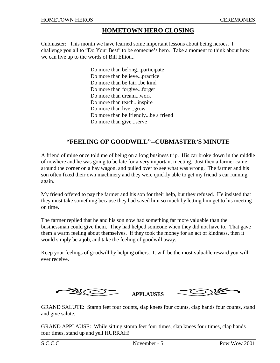#### **HOMETOWN HERO CLOSING**

Cubmaster: This month we have learned some important lessons about being heroes. I challenge you all to "Do Your Best" to be someone's hero. Take a moment to think about how we can live up to the words of Bill Elliot...

> Do more than belong...participate Do more than believe...practice Do more than be fair...be kind Do more than forgive...forget Do more than dream...work Do more than teach...inspire Do more than live...grow Do more than be friendly...be a friend Do more than give...serve

#### **"FEELING OF GOODWILL"--CUBMASTER'S MINUTE**

A friend of mine once told me of being on a long business trip. His car broke down in the middle of nowhere and he was going to be late for a very important meeting. Just then a farmer came around the corner on a hay wagon, and pulled over to see what was wrong. The farmer and his son often fixed their own machinery and they were quickly able to get my friend's car running again.

My friend offered to pay the farmer and his son for their help, but they refused. He insisted that they must take something because they had saved him so much by letting him get to his meeting on time.

The farmer replied that he and his son now had something far more valuable than the businessman could give them. They had helped someone when they did not have to. That gave them a warm feeling about themselves. If they took the money for an act of kindness, then it would simply be a job, and take the feeling of goodwill away.

Keep your feelings of goodwill by helping others. It will be the most valuable reward you will ever receive.



GRAND SALUTE: Stamp feet four counts, slap knees four counts, clap hands four counts, stand and give salute.

GRAND APPLAUSE: While sitting stomp feet four times, slap knees four times, clap hands four times, stand up and yell HURRAH!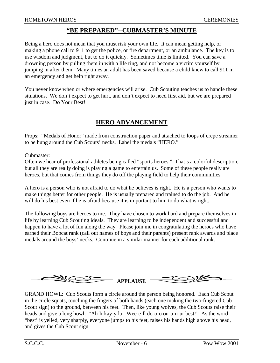#### **"BE PREPARED"--CUBMASTER'S MINUTE**

Being a hero does not mean that you must risk your own life. It can mean getting help, or making a phone call to 911 to get the police, or fire department, or an ambulance. The key is to use wisdom and judgment, but to do it quickly. Sometimes time is limited. You can save a drowning person by pulling them in with a life ring, and not become a victim yourself by jumping in after them. Many times an adult has been saved because a child knew to call 911 in an emergency and get help right away.

You never know when or where emergencies will arise. Cub Scouting teaches us to handle these situations. We don't expect to get hurt, and don't expect to need first aid, but we are prepared just in case. Do Your Best!

#### **HERO ADVANCEMENT**

Props: "Medals of Honor" made from construction paper and attached to loops of crepe streamer to be hung around the Cub Scouts' necks. Label the medals "HERO."

Cubmaster:

Often we hear of professional athletes being called "sports heroes." That's a colorful description, but all they are really doing is playing a game to entertain us. Some of these people really are heroes, but that comes from things they do off the playing field to help their communities.

A hero is a person who is not afraid to do what he believes is right. He is a person who wants to make things better for other people. He is usually prepared and trained to do the job. And he will do his best even if he is afraid because it is important to him to do what is right.

The following boys are heroes to me. They have chosen to work hard and prepare themselves in life by learning Cub Scouting ideals. They are learning to be independent and successful and happen to have a lot of fun along the way. Please join me in congratulating the heroes who have earned their Bobcat rank (call out names of boys and their parents) present rank awards and place medals around the boys' necks. Continue in a similar manner for each additional rank.



GRAND HOWL: Cub Scouts form a circle around the person being honored. Each Cub Scout in the circle squats, touching the fingers of both hands (each one making the two-fingered Cub Scout sign) to the ground, between his feet. Then, like young wolves, the Cub Scouts raise their heads and give a long howl: "Ah-h-kay-y-la! Wee-e'll do-o-o ou-u-u-ur best!" As the word "best' is yelled, very sharply, everyone jumps to his feet, raises his hands high above his head, and gives the Cub Scout sign.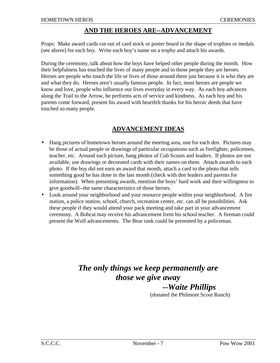#### **AND THE HEROES ARE--ADVANCEMENT**

Props: Make award cards cut out of card stock or poster board in the shape of trophies or medals (see above) for each boy. Write each boy's name on a trophy and attach his awards.

During the ceremony, talk about how the boys have helped other people during the month. How their helpfulness has touched the lives of many people and to those people they are heroes. Heroes are people who touch the life or lives of those around them just because it is who they are and what they do. Heroes aren't usually famous people. In fact, most heroes are people we know and love, people who influence our lives everyday in every way. As each boy advances along the Trail to the Arrow, he performs acts of service and kindness. As each boy and his parents come forward, present his award with heartfelt thanks for his heroic deeds that have touched so many people.

#### **ADVANCEMENT IDEAS**

- Hang pictures of hometown heroes around the meeting area, one for each den. Pictures may be those of actual people or drawings of particular occupations such as firefighter, policemen, teacher, etc. Around each picture, hang photos of Cub Scouts and leaders. If photos are not available, use drawings or decorated cards with their names on them. Attach awards to each photo. If the boy did not earn an award that month, attach a card to the photo that tells something good he has done in the last month (check with den leaders and parents for information). When presenting awards, mention the boys' hard work and their willingness to give goodwill--the same characteristics of those heroes.
- Look around your neighborhood and your resource people within your neighborhood. A fire station, a police station, school, church, recreation center, etc. can all be possibilities. Ask these people if they would attend your pack meeting and take part in your advancement ceremony. A Bobcat may receive his advancement form his school teacher. A fireman could present the Wolf advancements. The Bear rank could be presented by a policeman.

## *The only things we keep permanently are those we give away*

## *--Waite Phillips*

(donated the Philmont Scout Ranch)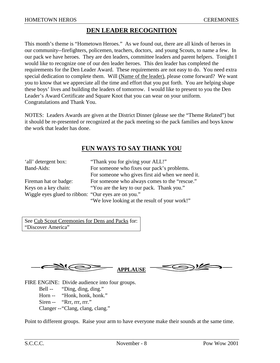#### **DEN LEADER RECOGNITION**

This month's theme is "Hometown Heroes." As we found out, there are all kinds of heroes in our community--firefighters, policemen, teachers, doctors, and young Scouts, to name a few. In our pack we have heroes. They are den leaders, committee leaders and parent helpers. Tonight I would like to recognize one of our den leader heroes. This den leader has completed the requirements for the Den Leader Award. These requirements are not easy to do. You need extra special dedication to complete them. Will (Name of the leader), please come forward? We want you to know that we appreciate all the time and effort that you put forth. You are helping shape these boys' lives and building the leaders of tomorrow. I would like to present to you the Den Leader's Award Certificate and Square Knot that you can wear on your uniform. Congratulations and Thank You.

NOTES: Leaders Awards are given at the District Dinner (please see the "Theme Related") but it should be re-presented or recognized at the pack meeting so the pack families and boys know the work that leader has done.

## **FUN WAYS TO SAY THANK YOU**

| 'all' detergent box:                                | "Thank you for giving your ALL!"                 |
|-----------------------------------------------------|--------------------------------------------------|
| Band-Aids:                                          | For someone who fixes our pack's problems.       |
|                                                     | For someone who gives first aid when we need it. |
| Fireman hat or badge:                               | For someone who always comes to the "rescue."    |
| Keys on a key chain:                                | "You are the key to our pack. Thank you."        |
| Wiggle eyes glued to ribbon: "Our eyes are on you." |                                                  |
|                                                     | "We love looking at the result of your work!"    |

See Cub Scout Ceremonies for Dens and Packs for: "Discover America"



FIRE ENGINE: Divide audience into four groups.

Bell -- "Ding, ding, ding."

Horn -- "Honk, honk, honk."

Siren -- "Rrr, rrr, rrr."

Clanger -- "Clang, clang, clang."

Point to different groups. Raise your arm to have everyone make their sounds at the same time.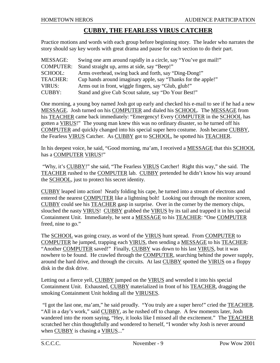#### **CUBBY, THE FEARLESS VIRUS CATCHER**

Practice motions and words with each group before beginning story. The leader who narrates the story should say key words with great drama and pause for each section to do their part.

| MESSAGE:         | Swing one arm around rapidly in a circle, say "You've got mail!" |
|------------------|------------------------------------------------------------------|
| <b>COMPUTER:</b> | Stand straight up, arms at side, say "Beep!"                     |
| SCHOOL:          | Arms overhead, swing back and forth, say "Ding-Dong!"            |
| <b>TEACHER:</b>  | Cup hands around imaginary apple, say "Thanks for the apple!"    |
| VIRUS:           | Arms out in front, wiggle fingers, say "Glub, glub!"             |
| <b>CUBBY:</b>    | Stand and give Cub Scout salute, say "Do Your Best!"             |

One morning, a young boy named Josh got up early and checked his e-mail to see if he had a new MESSAGE. Josh turned on his COMPUTER and dialed his SCHOOL. The MESSAGE from his TEACHER came back immediately: "Emergency! Every COMPUTER in the SCHOOL has gotten a VIRUS!" The young man knew this was no ordinary disaster, so he turned off his COMPUTER and quickly changed into his special super hero costume. Josh became CUBBY, the Fearless VIRUS Catcher. As CUBBY got to SCHOOL, he spotted his TEACHER.

In his deepest voice, he said, "Good morning, ma'am, I received a MESSAGE that this SCHOOL has a COMPUTER VIRUS!"

 "Why, it's CUBBY!" she said, "The Fearless VIRUS Catcher! Right this way," she said. The TEACHER rushed to the COMPUTER lab. CUBBY pretended he didn't know his way around the SCHOOL, just to protect his secret identity.

CUBBY leaped into action! Neatly folding his cape, he turned into a stream of electrons and entered the nearest COMPUTER like a lightning bolt! Looking out through the monitor screen, CUBBY could see his TEACHER gasp in surprise. Over in the corner by the memory chips, slouched the nasty VIRUS! CUBBY grabbed the VIRUS by its tail and trapped it in his special Containment Unit. Immediately, he sent a MESSAGE to his TEACHER: "One COMPUTER freed, nine to go."

The SCHOOL was going crazy, as word of the VIRUS hunt spread. From COMPUTER to COMPUTER he jumped, trapping each VIRUS, then sending a MESSAGE to his TEACHER: "Another COMPUTER saved!" Finally, CUBBY was down to his last VIRUS, but it was nowhere to be found. He crawled through the COMPUTER, searching behind the power supply, around the hard drive, and through the circuits. At last CUBBY spotted the VIRUS on a floppy disk in the disk drive.

Letting out a fierce yell, CUBBY jumped on the VIRUS and wrestled it into his special Containment Unit. Exhausted, CUBBY materialized in front of his TEACHER, dragging the smoking Containment Unit holding all the VIRUSES.

 "I got the last one, ma'am," he said proudly. "You truly are a super hero!" cried the TEACHER. "All in a day's work," said CUBBY, as he rushed off to change. A few moments later, Josh wandered into the room saying, "Hey, it looks like I missed all the excitement." The TEACHER scratched her chin thoughtfully and wondered to herself, "I wonder why Josh is never around when CUBBY is chasing a VIRUS..."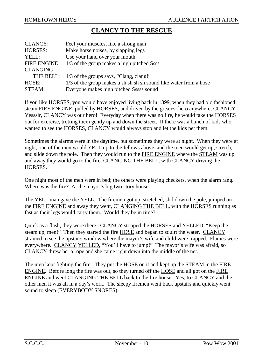#### **CLANCY TO THE RESCUE**

| <b>CLANCY:</b>      | Feel your muscles, like a strong man                              |
|---------------------|-------------------------------------------------------------------|
| <b>HORSES:</b>      | Make horse noises, by slapping legs                               |
| YELL:               | Use your hand over your mouth                                     |
| <b>FIRE ENGINE:</b> | 1/3 of the group makes a high pitched Ssss                        |
| <b>CLANGING</b>     |                                                                   |
| THE BELL:           | 1/3 of the groups says, "Clang, clang!"                           |
| HOSE:               | 1/3 of the group makes a sh sh sh sh sound like water from a hose |
| STEAM:              | Everyone makes high pitched Sssss sound                           |

If you like HORSES, you would have enjoyed living back in 1899, when they had old fashioned steam FIRE ENGINE, pulled by HORSES, and driven by the greatest hero anywhere, CLANCY. Yesssir, CLANCY was our hero! Everyday when there was no fire, he would take the HORSES out for exercise, trotting them gently up and down the street. If there was a bunch of kids who wanted to see the HORSES, CLANCY would always stop and let the kids pet them.

Sometimes the alarms were in the daytime, but sometimes they were at night. When they were at night, one of the men would YELL up to the fellows above, and the men would get up, stretch, and slide down the pole. Then they would run to the FIRE ENGINE where the STEAM was up, and away they would go to the fire, CLANGING THE BELL, with CLANCY driving the HORSES.

One night most of the men were in bed; the others were playing checkers, when the alarm rang. Where was the fire? At the mayor's big two story house.

The YELL man gave the YELL. The firemen got up, stretched, slid down the pole, jumped on the FIRE ENGINE and away they went, CLANGING THE BELL, with the HORSES running as fast as their legs would carry them. Would they be in time?

Quick as a flash, they were there. CLANCY stopped the HORSES and YELLED, "Keep the steam up, men!" Then they started the fire HOSE and began to squirt the water. CLANCY strained to see the upstairs window where the mayor's wife and child were trapped. Flames were everywhere. CLANCY YELLED, "You'll have to jump!" The mayor's wife was afraid, so CLANCY threw her a rope and she came right down into the middle of the net.

The men kept fighting the fire. They put the **HOSE** on it and kept up the **STEAM** in the FIRE ENGINE. Before long the fire was out, so they turned off the HOSE and all got on the FIRE ENGINE and went CLANGING THE BELL back to the fire house. Yes, to CLANCY and the other men it was all in a day's work. The sleepy firemen went back upstairs and quickly went sound to sleep (EVERYBODY SNORES).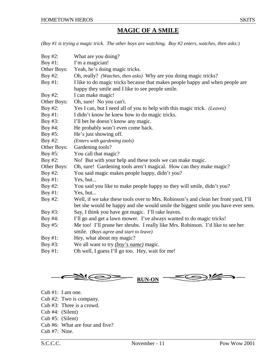## **MAGIC OF A SMILE**

*(Boy #1 is trying a magic trick. The other boys are watching. Boy #2 enters, watches, then asks:)*

| Boy #2:     | What are you doing?                                                                 |
|-------------|-------------------------------------------------------------------------------------|
| Boy $#1$ :  | I'm a magician!                                                                     |
| Other Boys: | Yeah, he's doing magic tricks.                                                      |
| Boy $#2$ :  | Oh, really? (Watches, then asks) Why are you doing magic tricks?                    |
| Boy #1:     | I like to do magic tricks because that makes people happy and when people are       |
|             | happy they smile and I like to see people smile.                                    |
| Boy $#2$ :  | I can make magic!                                                                   |
| Other Boys: | Oh, sure! No you can't.                                                             |
| Boy #2:     | Yes I can, but I need all of you to help with this magic trick. (Leaves)            |
| Boy $#1$ :  | I didn't know he knew how to do magic tricks.                                       |
| Boy $#3$ :  | I'll bet he doesn't know any magic.                                                 |
| Boy #4:     | He probably won't even come back.                                                   |
| Boy #5:     | He's just showing off.                                                              |
| Boy $#2$ :  | (Enters with gardening tools)                                                       |
| Other Boys: | Gardening tools?                                                                    |
| Boy $#5$ :  | You call that magic?                                                                |
| Boy #2:     | No! But with your help and these tools we can make magic.                           |
| Other Boys: | Oh, sure! Gardening tools aren't magical. How can they make magic?                  |
| Boy #2:     | You said magic makes people happy, didn't you?                                      |
| Boy #1:     | Yes, but                                                                            |
| Boy #2:     | You said you like to make people happy so they will smile, didn't you?              |
| Boy #1:     | Yes, but                                                                            |
| Boy #2:     | Well, if we take these tools over to Mrs. Robinson's and clean her front yard, I'll |
|             | bet she would be happy and she would smile the biggest smile you have ever seen.    |
| Boy $#3$ :  | Say, I think you have got magic. I'll rake leaves.                                  |
| Boy #4:     | I'll go and get a lawn mower. I've always wanted to do magic tricks!                |
| Boy #5:     | Me too! I'll prune her shrubs. I really like Mrs. Robinson. I'd like to see her     |
|             | smile. (Boys agree and start to leave)                                              |
| Boy #1:     | Hey, what about my magic?                                                           |
| Boy #3:     | We all want to try <i>(boy's name)</i> magic.                                       |
| Boy #1:     | Oh well, I guess I'll go too. Hey, wait for me!                                     |



- Cub #1: I am one.
- Cub #2: Two is company.
- Cub #3: Three is a crowd.
- Cub #4: (Silent)
- Cub #5: (Silent)
- Cub #6: What are four and five?
- Cub #7: Nine.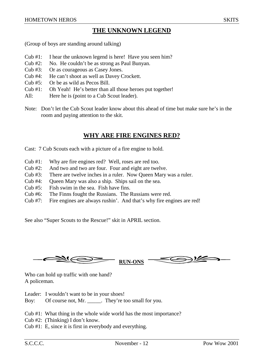## **THE UNKNOWN LEGEND**

(Group of boys are standing around talking)

- Cub #1: I hear the unknown legend is here! Have you seen him?
- Cub #2: No. He couldn't be as strong as Paul Bunyan.
- Cub #3: Or as courageous as Casey Jones.
- Cub #4: He can't shoot as well as Davey Crockett.
- Cub #5: Or be as wild as Pecos Bill.
- Cub #1: Oh Yeah! He's better than all those heroes put together!
- All: Here he is (point to a Cub Scout leader).
- Note: Don't let the Cub Scout leader know about this ahead of time but make sure he's in the room and paying attention to the skit.

## **WHY ARE FIRE ENGINES RED?**

Cast: 7 Cub Scouts each with a picture of a fire engine to hold.

- Cub #1: Why are fire engines red? Well, roses are red too.
- Cub #2: And two and two are four. Four and eight are twelve.
- Cub #3: There are twelve inches in a ruler. Now Queen Mary was a ruler.
- Cub #4: Queen Mary was also a ship. Ships sail on the sea.
- Cub #5: Fish swim in the sea. Fish have fins.
- Cub #6: The Finns fought the Russians. The Russians were red.
- Cub #7: Fire engines are always rushin'. And that's why fire engines are red!

See also "Super Scouts to the Rescue!" skit in APRIL section.

**RUN-ONS**

Who can hold up traffic with one hand? A policeman.

- Leader: I wouldn't want to be in your shoes!
- Boy: Of course not, Mr. \_\_\_\_\_. They're too small for you.

Cub #1: What thing in the whole wide world has the most importance?

- Cub #2: (Thinking) I don't know.
- Cub #1: E, since it is first in everybody and everything.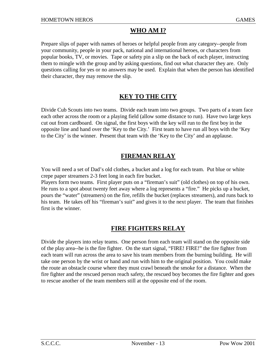## **WHO AM I?**

Prepare slips of paper with names of heroes or helpful people from any category--people from your community, people in your pack, national and international heroes, or characters from popular books, TV, or movies. Tape or safety pin a slip on the back of each player, instructing them to mingle with the group and by asking questions, find out what character they are. Only questions calling for yes or no answers may be used. Explain that when the person has identified their character, they may remove the slip.

## **KEY TO THE CITY**

Divide Cub Scouts into two teams. Divide each team into two groups. Two parts of a team face each other across the room or a playing field (allow some distance to run). Have two large keys cut out from cardboard. On signal, the first boys with the key will run to the first boy in the opposite line and hand over the 'Key to the City.' First team to have run all boys with the 'Key to the City' is the winner. Present that team with the 'Key to the City' and an applause.

## **FIREMAN RELAY**

You will need a set of Dad's old clothes, a bucket and a log for each team. Put blue or white crepe paper streamers 2-3 feet long in each fire bucket.

Players form two teams. First player puts on a "fireman's suit" (old clothes) on top of his own. He runs to a spot about twenty feet away where a log represents a "fire." He picks up a bucket, pours the "water" (streamers) on the fire, refills the bucket (replaces streamers), and runs back to his team. He takes off his "fireman's suit" and gives it to the next player. The team that finishes first is the winner.

## **FIRE FIGHTERS RELAY**

Divide the players into relay teams. One person from each team will stand on the opposite side of the play area--he is the fire fighter. On the start signal, "FIRE! FIRE!" the fire fighter from each team will run across the area to save his team members from the burning building. He will take one person by the wrist or hand and run with him to the original position. You could make the route an obstacle course where they must crawl beneath the smoke for a distance. When the fire fighter and the rescued person reach safety, the rescued boy becomes the fire fighter and goes to rescue another of the team members still at the opposite end of the room.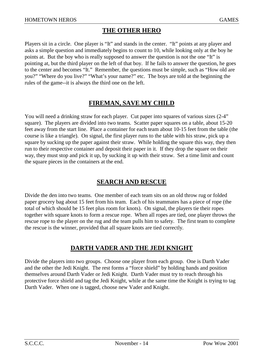## **THE OTHER HERO**

Players sit in a circle. One player is "It" and stands in the center. "It" points at any player and asks a simple question and immediately begins to count to 10, while looking only at the boy he points at. But the boy who is really supposed to answer the question is not the one "It" is pointing at, but the third player on the left of that boy. If he fails to answer the question, he goes to the center and becomes "It." Remember, the questions must be simple, such as "How old are you?" "Where do you live?" "What's your name?" etc. The boys are told at the beginning the rules of the game--it is always the third one on the left.

## **FIREMAN, SAVE MY CHILD**

You will need a drinking straw for each player. Cut paper into squares of various sizes  $(2-4)$ " square). The players are divided into two teams. Scatter paper squares on a table, about 15-20 feet away from the start line. Place a container for each team about 10-15 feet from the table (the course is like a triangle). On signal, the first player runs to the table with his straw, pick up a square by sucking up the paper against their straw. While holding the square this way, they then run to their respective container and deposit their paper in it. If they drop the square on their way, they must stop and pick it up, by sucking it up with their straw. Set a time limit and count the square pieces in the containers at the end.

#### **SEARCH AND RESCUE**

Divide the den into two teams. One member of each team sits on an old throw rug or folded paper grocery bag about 15 feet from his team. Each of his teammates has a piece of rope (the total of which should be 15 feet plus room for knots). On signal, the players tie their ropes together with square knots to form a rescue rope. When all ropes are tied, one player throws the rescue rope to the player on the rug and the team pulls him to safety. The first team to complete the rescue is the winner, provided that all square knots are tied correctly.

## **DARTH VADER AND THE JEDI KNIGHT**

Divide the players into two groups. Choose one player from each group. One is Darth Vader and the other the Jedi Knight. The rest forms a "force shield" by holding hands and position themselves around Darth Vader or Jedi Knight. Darth Vader must try to reach through his protective force shield and tag the Jedi Knight, while at the same time the Knight is trying to tag Darth Vader. When one is tagged, choose new Vader and Knight.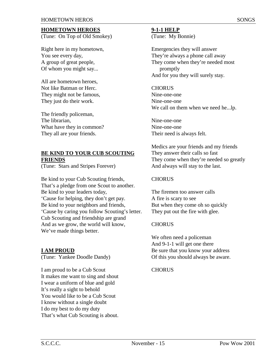#### **HOMETOWN HEROES**

(Tune: On Top of Old Smokey)

Right here in my hometown, You see every day, A group of great people, Of whom you might say...

All are hometown heroes, Not like Batman or Herc. They might not be famous, They just do their work.

The friendly policeman, The librarian, What have they in common? They all are your friends.

#### **BE KIND TO YOUR CUB SCOUTING FRIENDS**

(Tune: Stars and Stripes Forever)

Be kind to your Cub Scouting friends, That's a pledge from one Scout to another. Be kind to your leaders today, 'Cause for helping, they don't get pay. Be kind to your neighbors and friends, 'Cause by caring you follow Scouting's letter. Cub Scouting and friendship are grand And as we grow, the world will know, We've made things better.

#### **I AM PROUD**

(Tune: Yankee Doodle Dandy)

I am proud to be a Cub Scout It makes me want to sing and shout I wear a uniform of blue and gold It's really a sight to behold You would like to be a Cub Scout I know without a single doubt I do my best to do my duty That's what Cub Scouting is about.

#### **9-1-1 HELP**

(Tune: My Bonnie)

Emergencies they will answer They're always a phone call away They come when they're needed most promptly And for you they will surely stay.

#### **CHORUS**

Nine-one-one Nine-one-one We call on them when we need he...lp.

Nine-one-one Nine-one-one Their need is always felt.

Medics are your friends and my friends They answer their calls so fast They come when they're needed so greatly And always will stay to the last.

#### **CHORUS**

The firemen too answer calls A fire is scary to see But when they come oh so quickly They put out the fire with glee.

#### **CHORUS**

We often need a policeman And 9-1-1 will get one there Be sure that you know your address Of this you should always be aware.

#### **CHORUS**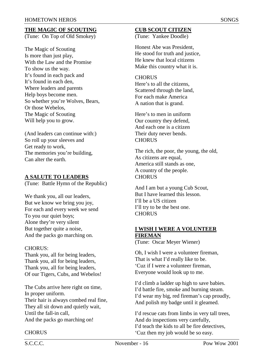## **THE MAGIC OF SCOUTING**

(Tune: On Top of Old Smokey)

The Magic of Scouting Is more than just play, With the Law and the Promise To show us the way. It's found in each pack and It's found in each den, Where leaders and parents Help boys become men. So whether you're Wolves, Bears, Or those Webelos, The Magic of Scouting Will help you to grow.

(And leaders can continue with:) So roll up your sleeves and Get ready to work, The memories you're building, Can alter the earth.

#### **A SALUTE TO LEADERS**

(Tune: Battle Hymn of the Republic)

We thank you, all our leaders, But we know we bring you joy, For each and every week we send To you our quiet boys; Alone they're very silent But together quite a noise, And the packs go marching on.

#### CHORUS:

Thank you, all for being leaders, Thank you, all for being leaders, Thank you, all for being leaders, Of our Tigers, Cubs, and Webelos!

The Cubs arrive here right on time, In proper uniform. Their hair is always combed real fine, They all sit down and quietly wait, Until the fall-in call, And the packs go marching on!

#### **CHORUS**

#### **CUB SCOUT CITIZEN**

(Tune: Yankee Doodle)

Honest Abe was President, He stood for truth and justice, He knew that local citizens Make this country what it is.

#### **CHORUS**

Here's to all the citizens, Scattered through the land, For each make America A nation that is grand.

Here's to men in uniform Our country they defend, And each one is a citizen Their duty never bends. **CHORUS** 

The rich, the poor, the young, the old, As citizens are equal. America still stands as one, A country of the people. **CHORUS** 

And I am but a young Cub Scout, But I have learned this lesson. I'll be a US citizen I'll try to be the best one. **CHORUS** 

#### **I WISH I WERE A VOLUNTEER FIREMAN**

(Tune: Oscar Meyer Wiener)

Oh, I wish I were a volunteer fireman, That is what I'd really like to be. 'Cuz if I were a volunteer fireman, Everyone would look up to me.

I'd climb a ladder up high to save babies. I'd battle fire, smoke and burning steam. I'd wear my big, red fireman's cap proudly, And polish my badge until it gleamed.

I'd rescue cats from limbs in very tall trees, And do inspections very carefully, I'd teach the kids to all be fire detectives, 'Cuz then my job would be so easy.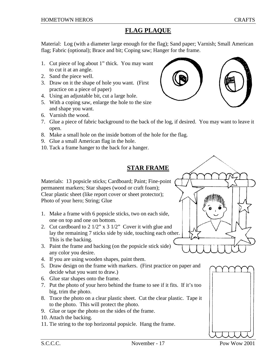## **FLAG PLAQUE**

Material: Log (with a diameter large enough for the flag); Sand paper; Varnish; Small American flag; Fabric (optional); Brace and bit; Coping saw; Hanger for the frame.

- 1. Cut piece of log about 1" thick. You may want to cut it at an angle.
- 2. Sand the piece well.
- 3. Draw on it the shape of hole you want. (First practice on a piece of paper)
- 4. Using an adjustable bit, cut a large hole.
- 5. With a coping saw, enlarge the hole to the size and shape you want.
- 6. Varnish the wood.
- 7. Glue a piece of fabric background to the back of the log, if desired. You may want to leave it open.
- 8. Make a small hole on the inside bottom of the hole for the flag.
- 9. Glue a small American flag in the hole.
- 10. Tack a frame hanger to the back for a hanger.

## **STAR FRAME**

Materials: 13 popsicle sticks; Cardboard; Paint; Fine-point permanent markers; Star shapes (wood or craft foam); Clear plastic sheet (like report cover or sheet protector); Photo of your hero; String; Glue

- 1. Make a frame with 6 popsicle sticks, two on each side, one on top and one on bottom.
- 2. Cut cardboard to 2 1/2" x 3 1/2" Cover it with glue and lay the remaining 7 sticks side by side, touching each other. This is the backing.
- 3. Paint the frame and backing (on the popsicle stick side) any color you desire.
- 4. If you are using wooden shapes, paint them.
- 5. Draw design on the frame with markers. (First practice on paper and decide what you want to draw.)
- 6. Glue star shapes onto the frame.
- 7. Put the photo of your hero behind the frame to see if it fits. If it's too big, trim the photo.
- 8. Trace the photo on a clear plastic sheet. Cut the clear plastic. Tape it to the photo. This will protect the photo.
- 9. Glue or tape the photo on the sides of the frame.
- 10. Attach the backing.
- 11. Tie string to the top horizontal popsicle. Hang the frame.



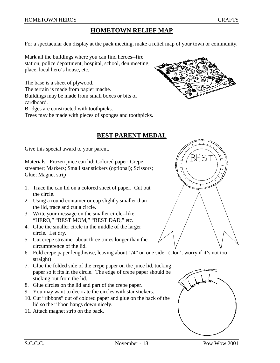## **HOMETOWN RELIEF MAP**

For a spectacular den display at the pack meeting, make a relief map of your town or community.

Mark all the buildings where you can find heroes--fire station, police department, hospital, school, den meeting place, local hero's house, etc.

The base is a sheet of plywood.

The terrain is made from papier mache.

Buildings may be made from small boxes or bits of

cardboard. Bridges are constructed with toothpicks.

Trees may be made with pieces of sponges and toothpicks.

#### **BEST PARENT MEDAL**

Give this special award to your parent.

Materials: Frozen juice can lid; Colored paper; Crepe streamer; Markers; Small star stickers (optional); Scissors; Glue; Magnet strip

- 1. Trace the can lid on a colored sheet of paper. Cut out the circle.
- 2. Using a round container or cup slightly smaller than the lid, trace and cut a circle.
- 3. Write your message on the smaller circle--like "HERO," "BEST MOM," "BEST DAD," etc.
- 4. Glue the smaller circle in the middle of the larger circle. Let dry.
- 5. Cut crepe streamer about three times longer than the circumference of the lid.
- 6. Fold crepe paper lengthwise, leaving about 1/4" on one side. (Don't worry if it's not too straight)
- 7. Glue the folded side of the crepe paper on the juice lid, tucking paper so it fits in the circle. The edge of crepe paper should be sticking out from the lid.
- 8. Glue circles on the lid and part of the crepe paper.
- 9. You may want to decorate the circles with star stickers.
- 10. Cut "ribbons" out of colored paper and glue on the back of the lid so the ribbon hangs down nicely.
- 11. Attach magnet strip on the back.





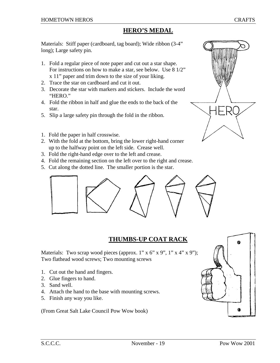Materials: Stiff paper (cardboard, tag board); Wide ribbon (3-4" long); Large safety pin.

- 1. Fold a regular piece of note paper and cut out a star shape. For instructions on how to make a star, see below. Use 8 1/2" x 11" paper and trim down to the size of your liking.
- 2. Trace the star on cardboard and cut it out.
- 3. Decorate the star with markers and stickers. Include the word "HERO."
- 4. Fold the ribbon in half and glue the ends to the back of the star.
- 5. Slip a large safety pin through the fold in the ribbon.
- 1. Fold the paper in half crosswise.
- 2. With the fold at the bottom, bring the lower right-hand corner up to the halfway point on the left side. Crease well.
- 3. Fold the right-hand edge over to the left and crease.
- 4. Fold the remaining section on the left over to the right and crease.
- 5. Cut along the dotted line. The smaller portion is the star.



## **THUMBS-UP COAT RACK**

Materials: Two scrap wood pieces (approx. 1" x 6" x 9", 1" x 4" x 9"); Two flathead wood screws; Two mounting screws

- 1. Cut out the hand and fingers.
- 2. Glue fingers to hand.
- 3. Sand well.
- 4. Attach the hand to the base with mounting screws.
- 5. Finish any way you like.

(From Great Salt Lake Council Pow Wow book)



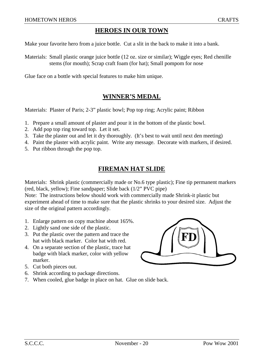#### **HEROES IN OUR TOWN**

Make your favorite hero from a juice bottle. Cut a slit in the back to make it into a bank.

Materials: Small plastic orange juice bottle (12 oz. size or similar); Wiggle eyes; Red chenille stems (for mouth); Scrap craft foam (for hat); Small pompom for nose

Glue face on a bottle with special features to make him unique.

#### **WINNER'S MEDAL**

Materials: Plaster of Paris; 2-3" plastic bowl; Pop top ring; Acrylic paint; Ribbon

- 1. Prepare a small amount of plaster and pour it in the bottom of the plastic bowl.
- 2. Add pop top ring toward top. Let it set.
- 3. Take the plaster out and let it dry thoroughly. (It's best to wait until next den meeting)
- 4. Paint the plaster with acrylic paint. Write any message. Decorate with markers, if desired.
- 5. Put ribbon through the pop top.

#### **FIREMAN HAT SLIDE**

Materials: Shrink plastic (commercially made or No.6 type plastic); Fine tip permanent markers (red, black, yellow); Fine sandpaper; Slide back (1/2" PVC pipe)

Note: The instructions below should work with commercially made Shrink-it plastic but experiment ahead of time to make sure that the plastic shrinks to your desired size. Adjust the size of the original pattern accordingly.

- 1. Enlarge pattern on copy machine about 165%.
- 2. Lightly sand one side of the plastic.
- 3. Put the plastic over the pattern and trace the hat with black marker. Color hat with red.
- 4. On a separate section of the plastic, trace hat badge with black marker, color with yellow marker.
- 5. Cut both pieces out.
- 6. Shrink according to package directions.
- 7. When cooled, glue badge in place on hat. Glue on slide back.

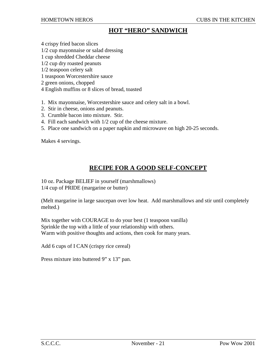#### **HOT "HERO" SANDWICH**

- 4 crispy fried bacon slices
- 1/2 cup mayonnaise or salad dressing
- 1 cup shredded Cheddar cheese
- 1/2 cup dry roasted peanuts
- 1/2 teaspoon celery salt
- 1 teaspoon Worcestershire sauce
- 2 green onions, chopped
- 4 English muffins or 8 slices of bread, toasted
- 1. Mix mayonnaise, Worcestershire sauce and celery salt in a bowl.
- 2. Stir in cheese, onions and peanuts.
- 3. Crumble bacon into mixture. Stir.
- 4. Fill each sandwich with 1/2 cup of the cheese mixture.
- 5. Place one sandwich on a paper napkin and microwave on high 20-25 seconds.

Makes 4 servings.

#### **RECIPE FOR A GOOD SELF-CONCEPT**

10 oz. Package BELIEF in yourself (marshmallows) 1/4 cup of PRIDE (margarine or butter)

(Melt margarine in large saucepan over low heat. Add marshmallows and stir until completely melted.)

Mix together with COURAGE to do your best (1 teaspoon vanilla) Sprinkle the top with a little of your relationship with others. Warm with positive thoughts and actions, then cook for many years.

Add 6 cups of I CAN (crispy rice cereal)

Press mixture into buttered 9" x 13" pan.